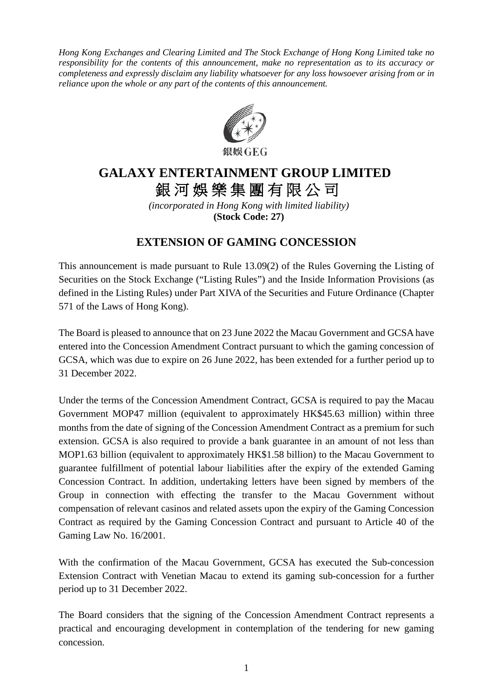*Hong Kong Exchanges and Clearing Limited and The Stock Exchange of Hong Kong Limited take no responsibility for the contents of this announcement, make no representation as to its accuracy or completeness and expressly disclaim any liability whatsoever for any loss howsoever arising from or in reliance upon the whole or any part of the contents of this announcement.*



## **GALAXY ENTERTAINMENT GROUP LIMITED** 銀河娛樂集團有限公司

*(incorporated in Hong Kong with limited liability)* **(Stock Code: 27)**

## **EXTENSION OF GAMING CONCESSION**

This announcement is made pursuant to Rule 13.09(2) of the Rules Governing the Listing of Securities on the Stock Exchange ("Listing Rules") and the Inside Information Provisions (as defined in the Listing Rules) under Part XIVA of the Securities and Future Ordinance (Chapter 571 of the Laws of Hong Kong).

The Board is pleased to announce that on 23 June 2022 the Macau Government and GCSA have entered into the Concession Amendment Contract pursuant to which the gaming concession of GCSA, which was due to expire on 26 June 2022, has been extended for a further period up to 31 December 2022.

Under the terms of the Concession Amendment Contract, GCSA is required to pay the Macau Government MOP47 million (equivalent to approximately HK\$45.63 million) within three months from the date of signing of the Concession Amendment Contract as a premium for such extension. GCSA is also required to provide a bank guarantee in an amount of not less than MOP1.63 billion (equivalent to approximately HK\$1.58 billion) to the Macau Government to guarantee fulfillment of potential labour liabilities after the expiry of the extended Gaming Concession Contract. In addition, undertaking letters have been signed by members of the Group in connection with effecting the transfer to the Macau Government without compensation of relevant casinos and related assets upon the expiry of the Gaming Concession Contract as required by the Gaming Concession Contract and pursuant to Article 40 of the Gaming Law No. 16/2001.

With the confirmation of the Macau Government, GCSA has executed the Sub-concession Extension Contract with Venetian Macau to extend its gaming sub-concession for a further period up to 31 December 2022.

The Board considers that the signing of the Concession Amendment Contract represents a practical and encouraging development in contemplation of the tendering for new gaming concession.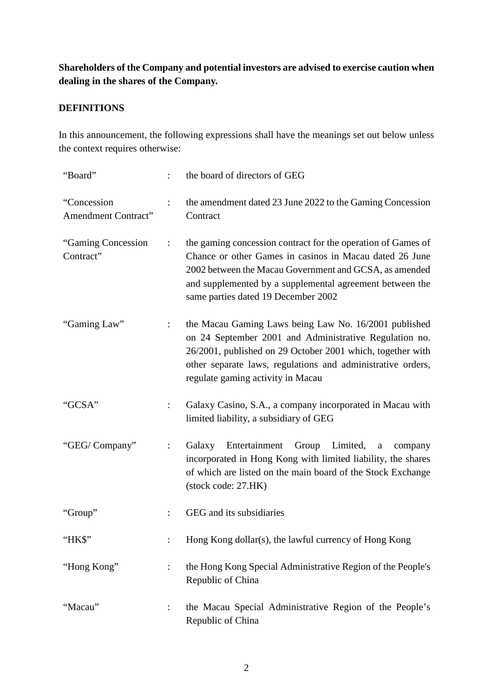## **Shareholders of the Company and potential investors are advised to exercise caution when dealing in the shares of the Company.**

## **DEFINITIONS**

In this announcement, the following expressions shall have the meanings set out below unless the context requires otherwise:

| "Board"                                   |                      | the board of directors of GEG                                                                                                                                                                                                                                                        |
|-------------------------------------------|----------------------|--------------------------------------------------------------------------------------------------------------------------------------------------------------------------------------------------------------------------------------------------------------------------------------|
| "Concession<br><b>Amendment Contract"</b> | $\ddot{\cdot}$       | the amendment dated 23 June 2022 to the Gaming Concession<br>Contract                                                                                                                                                                                                                |
| "Gaming Concession"<br>Contract"          | ÷                    | the gaming concession contract for the operation of Games of<br>Chance or other Games in casinos in Macau dated 26 June<br>2002 between the Macau Government and GCSA, as amended<br>and supplemented by a supplemental agreement between the<br>same parties dated 19 December 2002 |
| "Gaming Law"                              | $\ddot{\phantom{a}}$ | the Macau Gaming Laws being Law No. 16/2001 published<br>on 24 September 2001 and Administrative Regulation no.<br>26/2001, published on 29 October 2001 which, together with<br>other separate laws, regulations and administrative orders,<br>regulate gaming activity in Macau    |
| "GCSA"                                    | $\ddot{\cdot}$       | Galaxy Casino, S.A., a company incorporated in Macau with<br>limited liability, a subsidiary of GEG                                                                                                                                                                                  |
| "GEG/Company"                             | $\ddot{\cdot}$       | Entertainment Group Limited,<br>Galaxy<br>$\mathbf{a}$<br>company<br>incorporated in Hong Kong with limited liability, the shares<br>of which are listed on the main board of the Stock Exchange<br>(stock code: 27.HK)                                                              |
| "Group"                                   | $\ddot{\cdot}$       | GEG and its subsidiaries                                                                                                                                                                                                                                                             |
| "HK\$"                                    |                      | Hong Kong dollar(s), the lawful currency of Hong Kong                                                                                                                                                                                                                                |
| "Hong Kong"                               | $\ddot{\phantom{a}}$ | the Hong Kong Special Administrative Region of the People's<br>Republic of China                                                                                                                                                                                                     |
| "Macau"                                   | $\ddot{\cdot}$       | the Macau Special Administrative Region of the People's<br>Republic of China                                                                                                                                                                                                         |